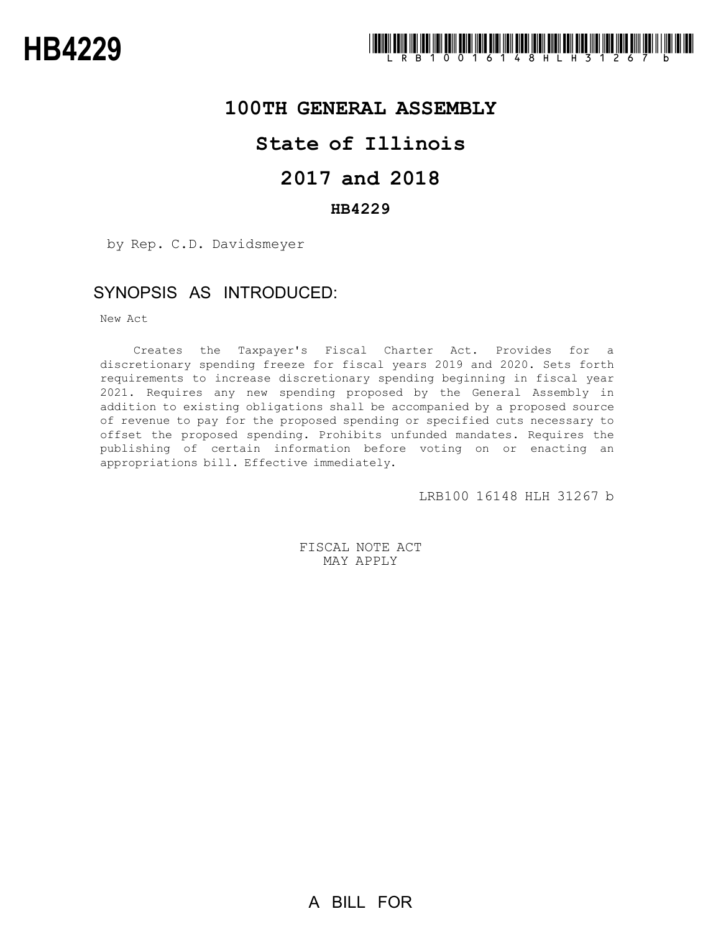

## **100TH GENERAL ASSEMBLY**

## **State of Illinois**

# **2017 and 2018**

## **HB4229**

by Rep. C.D. Davidsmeyer

## SYNOPSIS AS INTRODUCED:

New Act

Creates the Taxpayer's Fiscal Charter Act. Provides for a discretionary spending freeze for fiscal years 2019 and 2020. Sets forth requirements to increase discretionary spending beginning in fiscal year 2021. Requires any new spending proposed by the General Assembly in addition to existing obligations shall be accompanied by a proposed source of revenue to pay for the proposed spending or specified cuts necessary to offset the proposed spending. Prohibits unfunded mandates. Requires the publishing of certain information before voting on or enacting an appropriations bill. Effective immediately.

LRB100 16148 HLH 31267 b

FISCAL NOTE ACT MAY APPLY

A BILL FOR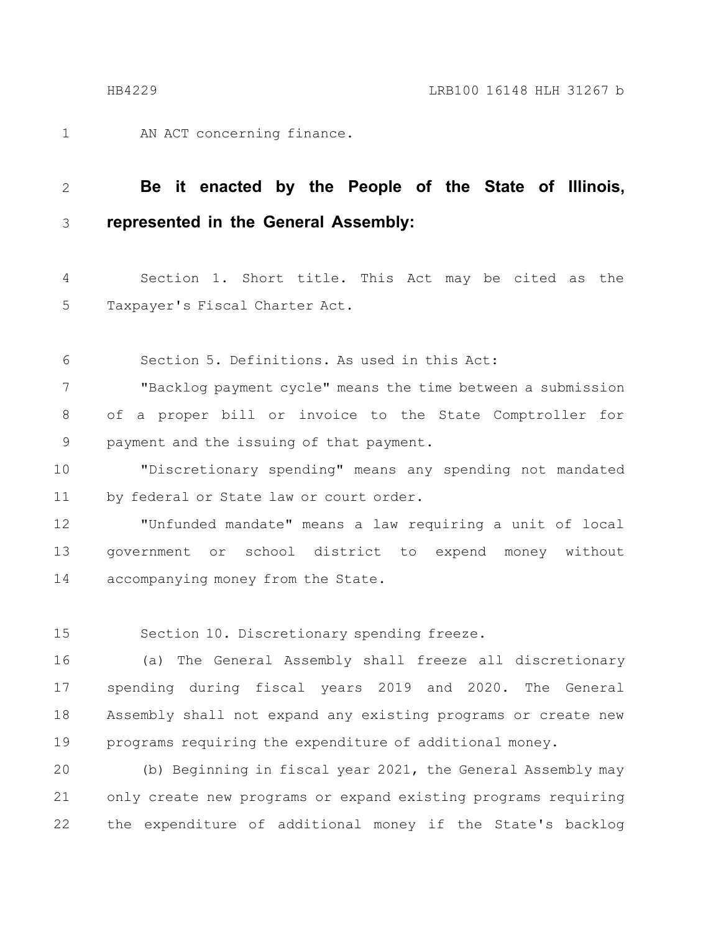AN ACT concerning finance. 1

### **Be it enacted by the People of the State of Illinois, represented in the General Assembly:** 2 3

Section 1. Short title. This Act may be cited as the Taxpayer's Fiscal Charter Act. 4 5

Section 5. Definitions. As used in this Act: 6

"Backlog payment cycle" means the time between a submission of a proper bill or invoice to the State Comptroller for payment and the issuing of that payment. 7 8 9

"Discretionary spending" means any spending not mandated by federal or State law or court order. 10 11

"Unfunded mandate" means a law requiring a unit of local government or school district to expend money without accompanying money from the State. 12 13 14

Section 10. Discretionary spending freeze. 15

(a) The General Assembly shall freeze all discretionary spending during fiscal years 2019 and 2020. The General Assembly shall not expand any existing programs or create new programs requiring the expenditure of additional money. 16 17 18 19

(b) Beginning in fiscal year 2021, the General Assembly may only create new programs or expand existing programs requiring the expenditure of additional money if the State's backlog 20 21 22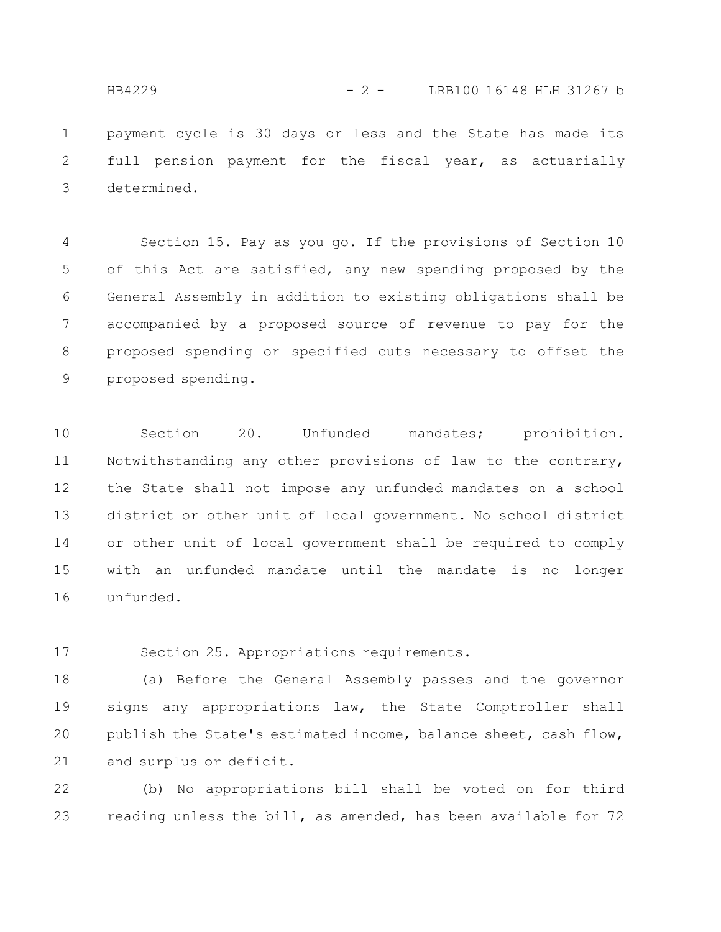payment cycle is 30 days or less and the State has made its full pension payment for the fiscal year, as actuarially determined. 1 2 3

Section 15. Pay as you go. If the provisions of Section 10 of this Act are satisfied, any new spending proposed by the General Assembly in addition to existing obligations shall be accompanied by a proposed source of revenue to pay for the proposed spending or specified cuts necessary to offset the proposed spending. 4 5 6 7 8 9

Section 20. Unfunded mandates; prohibition. Notwithstanding any other provisions of law to the contrary, the State shall not impose any unfunded mandates on a school district or other unit of local government. No school district or other unit of local government shall be required to comply with an unfunded mandate until the mandate is no longer unfunded. 10 11 12 13 14 15 16

Section 25. Appropriations requirements. 17

(a) Before the General Assembly passes and the governor signs any appropriations law, the State Comptroller shall publish the State's estimated income, balance sheet, cash flow, and surplus or deficit. 18 19 20 21

(b) No appropriations bill shall be voted on for third reading unless the bill, as amended, has been available for 72 22 23